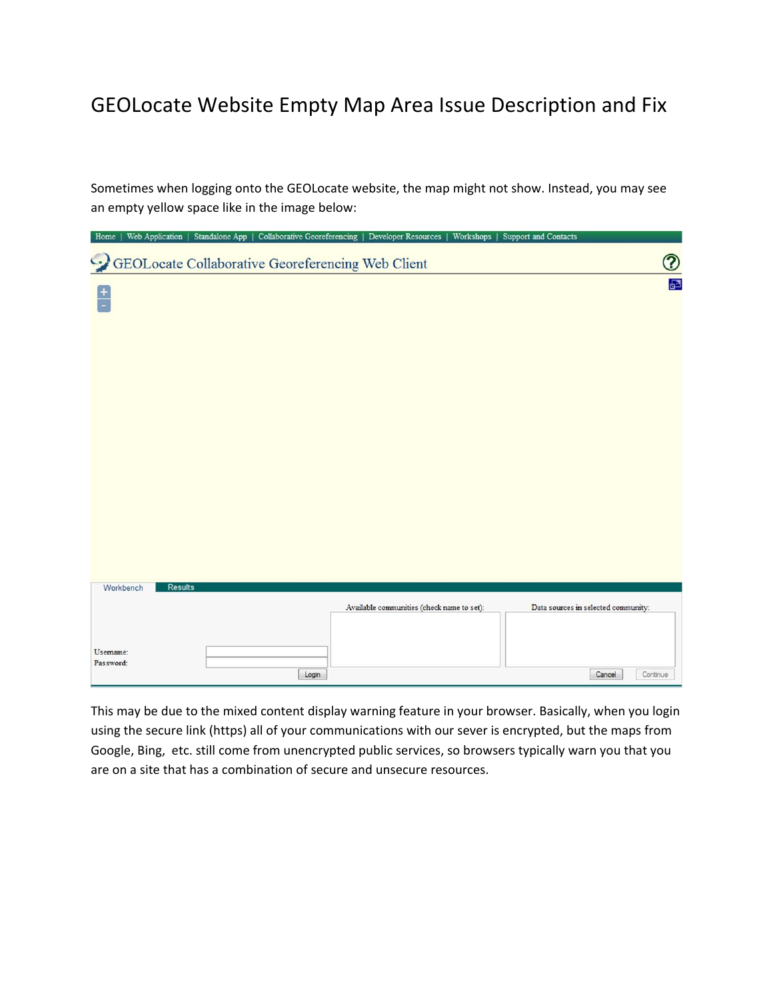## GEOLocate Website Empty Map Area Issue Description and Fix

Sometimes when logging onto the GEOLocate website, the map might not show. Instead, you may see an empty yellow space like in the image below:

| Home          | Web Application | Standalone App |       | Collaborative Georeferencing   Developer Resources | Workshops   Support and Contacts |                                     |
|---------------|-----------------|----------------|-------|----------------------------------------------------|----------------------------------|-------------------------------------|
|               |                 |                |       | GEOLocate Collaborative Georeferencing Web Client  |                                  | $\circledR$                         |
|               |                 |                |       |                                                    |                                  | 囨                                   |
| $\frac{+}{-}$ |                 |                |       |                                                    |                                  |                                     |
|               |                 |                |       |                                                    |                                  |                                     |
|               |                 |                |       |                                                    |                                  |                                     |
|               |                 |                |       |                                                    |                                  |                                     |
|               |                 |                |       |                                                    |                                  |                                     |
|               |                 |                |       |                                                    |                                  |                                     |
|               |                 |                |       |                                                    |                                  |                                     |
|               |                 |                |       |                                                    |                                  |                                     |
|               |                 |                |       |                                                    |                                  |                                     |
|               |                 |                |       |                                                    |                                  |                                     |
|               |                 |                |       |                                                    |                                  |                                     |
|               |                 |                |       |                                                    |                                  |                                     |
|               |                 |                |       |                                                    |                                  |                                     |
| Workbench     | Results         |                |       |                                                    |                                  |                                     |
|               |                 |                |       | Available communities (check name to set):         |                                  | Data sources in selected community: |
|               |                 |                |       |                                                    |                                  |                                     |
| Usemame:      |                 |                |       |                                                    |                                  |                                     |
| Password:     |                 |                | Login |                                                    |                                  | Continue<br>Cancel                  |

This may be due to the mixed content display warning feature in your browser. Basically, when you login using the secure link (https) all of your communications with our sever is encrypted, but the maps from Google, Bing, etc. still come from unencrypted public services, so browsers typically warn you that you are on a site that has a combination of secure and unsecure resources.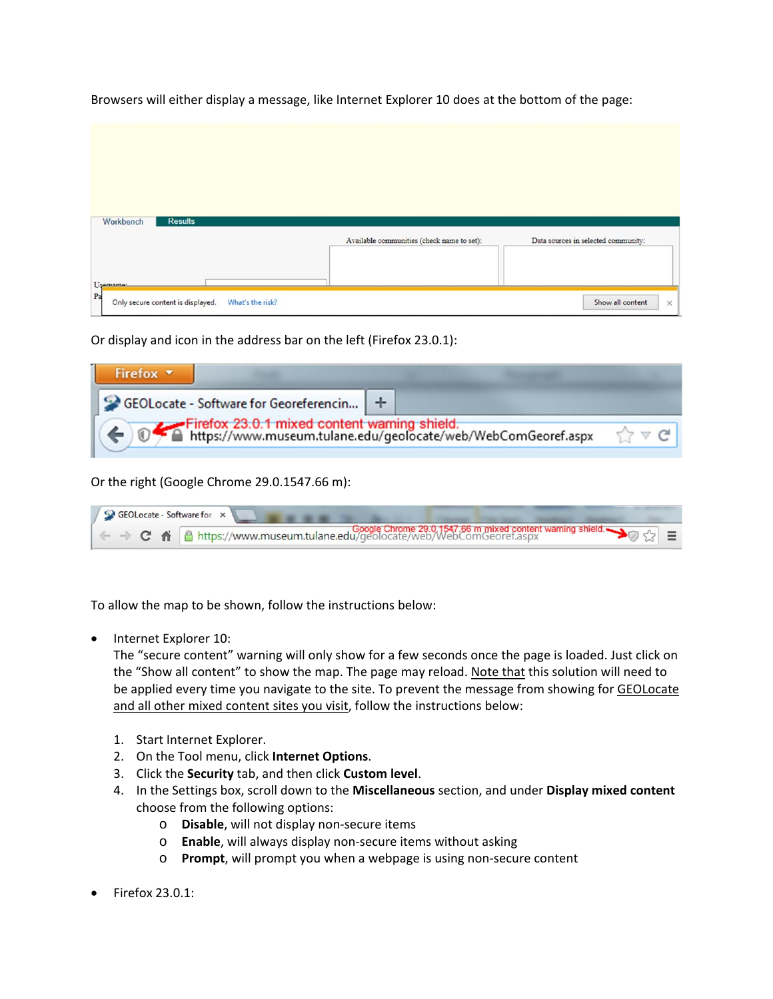| Available communities (check name to set):<br>Data sources in selected community: |
|-----------------------------------------------------------------------------------|
|                                                                                   |
|                                                                                   |
|                                                                                   |
|                                                                                   |
|                                                                                   |
|                                                                                   |
|                                                                                   |

Browsers will either display a message, like Internet Explorer 10 does at the bottom of the page:

Or display and icon in the address bar on the left (Firefox 23.0.1):

| Firefox $\blacktriangledown$                                                                                                                                    |  |
|-----------------------------------------------------------------------------------------------------------------------------------------------------------------|--|
| GEOLocate - Software for Georeferencin   +<br>Firefox 23.0.1 mixed content warning shield.<br>The https://www.museum.tulane.edu/geolocate/web/WebComGeoref.aspx |  |

Or the right (Google Chrome 29.0.1547.66 m):

| GEOLocate - Software for x                                                                                                                              |
|---------------------------------------------------------------------------------------------------------------------------------------------------------|
| ← → C <del>n</del> https://www.museum.tulane.edu/geolocate/web/WebComGeoref.aspx<br>→ C n https://www.museum.tulane.edu/geolocate/web/WebComGeoref.aspx |

To allow the map to be shown, follow the instructions below:

• Internet Explorer 10:

The "secure content" warning will only show for a few seconds once the page is loaded. Just click on the "Show all content" to show the map. The page may reload. Note that this solution will need to be applied every time you navigate to the site. To prevent the message from showing for GEOLocate and all other mixed content sites you visit, follow the instructions below:

- 1. Start Internet Explorer.
- 2. On the Tool menu, click **Internet Options**.
- 3. Click the **Security** tab, and then click **Custom level**.
- 4. In the Settings box, scroll down to the **Miscellaneous** section, and under **Display mixed content** choose from the following options:
	- o **Disable**, will not display non‐secure items
	- o **Enable**, will always display non‐secure items without asking
	- o **Prompt**, will prompt you when a webpage is using non‐secure content
- Firefox 23.0.1: